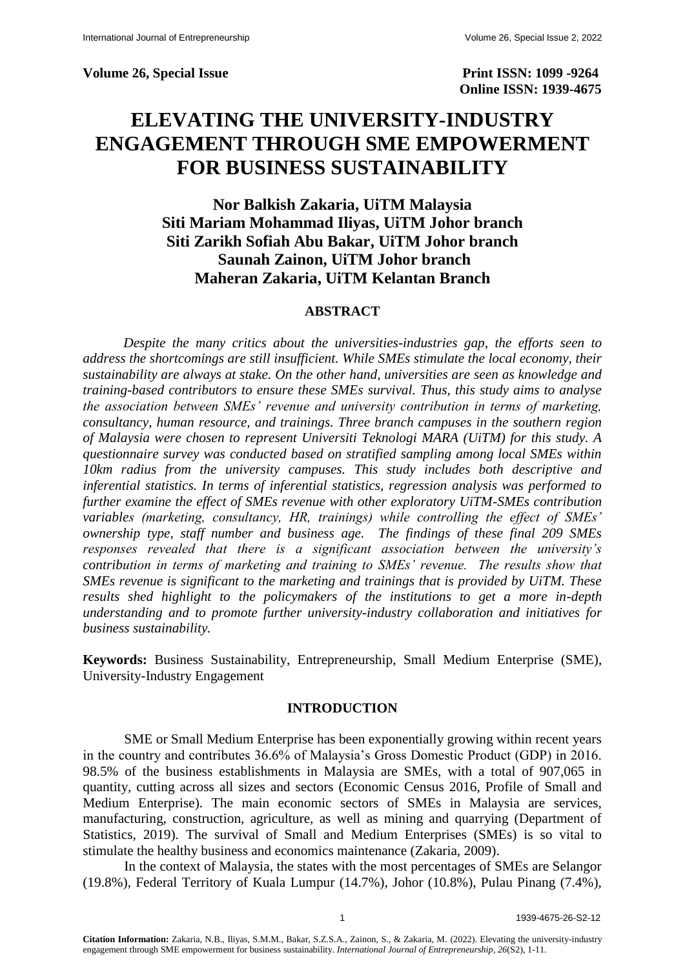**Volume 26, Special Issue Print ISSN: 1099 -9264** 

 **Online ISSN: 1939-4675**

# **ELEVATING THE UNIVERSITY-INDUSTRY ENGAGEMENT THROUGH SME EMPOWERMENT FOR BUSINESS SUSTAINABILITY**

## **Nor Balkish Zakaria, UiTM Malaysia Siti Mariam Mohammad Iliyas, UiTM Johor branch Siti Zarikh Sofiah Abu Bakar, UiTM Johor branch Saunah Zainon, UiTM Johor branch Maheran Zakaria, UiTM Kelantan Branch**

#### **ABSTRACT**

*Despite the many critics about the universities-industries gap, the efforts seen to address the shortcomings are still insufficient. While SMEs stimulate the local economy, their sustainability are always at stake. On the other hand, universities are seen as knowledge and training-based contributors to ensure these SMEs survival. Thus, this study aims to analyse the association between SMEs' revenue and university contribution in terms of marketing, consultancy, human resource, and trainings. Three branch campuses in the southern region of Malaysia were chosen to represent Universiti Teknologi MARA (UiTM) for this study. A questionnaire survey was conducted based on stratified sampling among local SMEs within 10km radius from the university campuses. This study includes both descriptive and inferential statistics. In terms of inferential statistics, regression analysis was performed to further examine the effect of SMEs revenue with other exploratory UiTM-SMEs contribution variables (marketing, consultancy, HR, trainings) while controlling the effect of SMEs' ownership type, staff number and business age. The findings of these final 209 SMEs responses revealed that there is a significant association between the university's contribution in terms of marketing and training to SMEs' revenue. The results show that SMEs revenue is significant to the marketing and trainings that is provided by UiTM. These results shed highlight to the policymakers of the institutions to get a more in-depth understanding and to promote further university-industry collaboration and initiatives for business sustainability.*

**Keywords:** Business Sustainability, Entrepreneurship, Small Medium Enterprise (SME), University-Industry Engagement

#### **INTRODUCTION**

SME or Small Medium Enterprise has been exponentially growing within recent years in the country and contributes 36.6% of Malaysia's Gross Domestic Product (GDP) in 2016. 98.5% of the business establishments in Malaysia are SMEs, with a total of 907,065 in quantity, cutting across all sizes and sectors (Economic Census 2016, Profile of Small and Medium Enterprise). The main economic sectors of SMEs in Malaysia are services, manufacturing, construction, agriculture, as well as mining and quarrying (Department of Statistics, 2019). The survival of Small and Medium Enterprises (SMEs) is so vital to stimulate the healthy business and economics maintenance (Zakaria, 2009).

In the context of Malaysia, the states with the most percentages of SMEs are Selangor (19.8%), Federal Territory of Kuala Lumpur (14.7%), Johor (10.8%), Pulau Pinang (7.4%),

**Citation Information:** Zakaria, N.B., Iliyas, S.M.M., Bakar, S.Z.S.A., Zainon, S., & Zakaria, M. (2022). Elevating the university-industry engagement through SME empowerment for business sustainability. *International Journal of Entrepreneurship, 26*(S2), 1-11.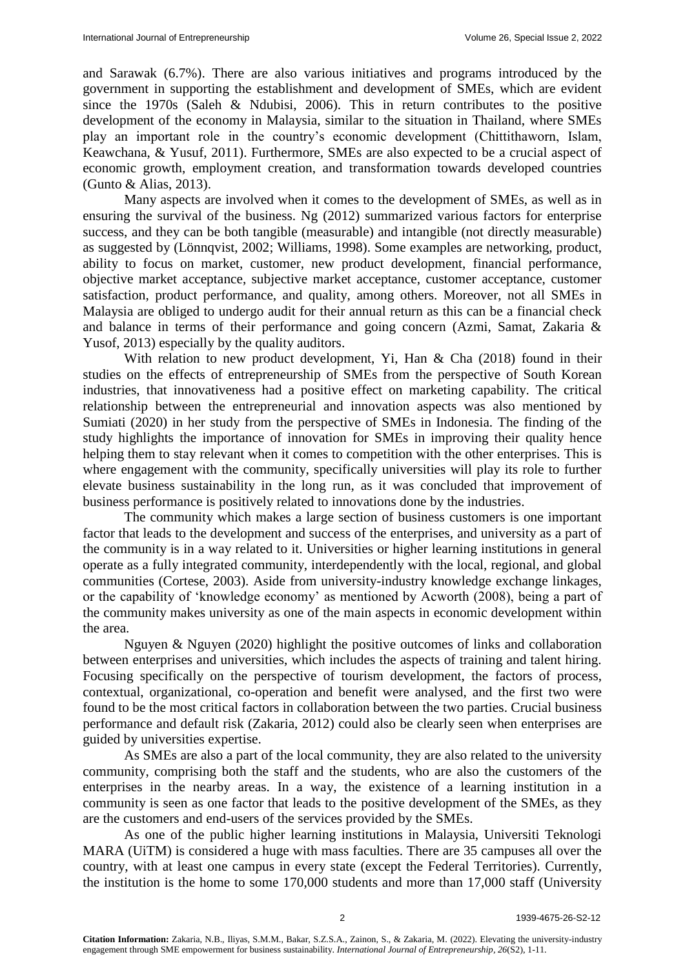and Sarawak (6.7%). There are also various initiatives and programs introduced by the government in supporting the establishment and development of SMEs, which are evident since the 1970s (Saleh & Ndubisi, 2006). This in return contributes to the positive development of the economy in Malaysia, similar to the situation in Thailand, where SMEs play an important role in the country's economic development (Chittithaworn, Islam, Keawchana, & Yusuf, 2011). Furthermore, SMEs are also expected to be a crucial aspect of economic growth, employment creation, and transformation towards developed countries (Gunto & Alias, 2013).

Many aspects are involved when it comes to the development of SMEs, as well as in ensuring the survival of the business. Ng (2012) summarized various factors for enterprise success, and they can be both tangible (measurable) and intangible (not directly measurable) as suggested by (Lönnqvist, 2002; Williams, 1998). Some examples are networking, product, ability to focus on market, customer, new product development, financial performance, objective market acceptance, subjective market acceptance, customer acceptance, customer satisfaction, product performance, and quality, among others. Moreover, not all SMEs in Malaysia are obliged to undergo audit for their annual return as this can be a financial check and balance in terms of their performance and going concern (Azmi, Samat, Zakaria & Yusof, 2013) especially by the quality auditors.

With relation to new product development. Yi, Han & Cha (2018) found in their studies on the effects of entrepreneurship of SMEs from the perspective of South Korean industries, that innovativeness had a positive effect on marketing capability. The critical relationship between the entrepreneurial and innovation aspects was also mentioned by Sumiati (2020) in her study from the perspective of SMEs in Indonesia. The finding of the study highlights the importance of innovation for SMEs in improving their quality hence helping them to stay relevant when it comes to competition with the other enterprises. This is where engagement with the community, specifically universities will play its role to further elevate business sustainability in the long run, as it was concluded that improvement of business performance is positively related to innovations done by the industries.

The community which makes a large section of business customers is one important factor that leads to the development and success of the enterprises, and university as a part of the community is in a way related to it. Universities or higher learning institutions in general operate as a fully integrated community, interdependently with the local, regional, and global communities (Cortese, 2003). Aside from university-industry knowledge exchange linkages, or the capability of 'knowledge economy' as mentioned by Acworth (2008), being a part of the community makes university as one of the main aspects in economic development within the area.

Nguyen & Nguyen (2020) highlight the positive outcomes of links and collaboration between enterprises and universities, which includes the aspects of training and talent hiring. Focusing specifically on the perspective of tourism development, the factors of process, contextual, organizational, co-operation and benefit were analysed, and the first two were found to be the most critical factors in collaboration between the two parties. Crucial business performance and default risk (Zakaria, 2012) could also be clearly seen when enterprises are guided by universities expertise.

As SMEs are also a part of the local community, they are also related to the university community, comprising both the staff and the students, who are also the customers of the enterprises in the nearby areas. In a way, the existence of a learning institution in a community is seen as one factor that leads to the positive development of the SMEs, as they are the customers and end-users of the services provided by the SMEs.

As one of the public higher learning institutions in Malaysia, Universiti Teknologi MARA (UiTM) is considered a huge with mass faculties. There are 35 campuses all over the country, with at least one campus in every state (except the Federal Territories). Currently, the institution is the home to some 170,000 students and more than 17,000 staff (University

**Citation Information:** Zakaria, N.B., Iliyas, S.M.M., Bakar, S.Z.S.A., Zainon, S., & Zakaria, M. (2022). Elevating the university-industry engagement through SME empowerment for business sustainability. *International Journal of Entrepreneurship, 26*(S2), 1-11.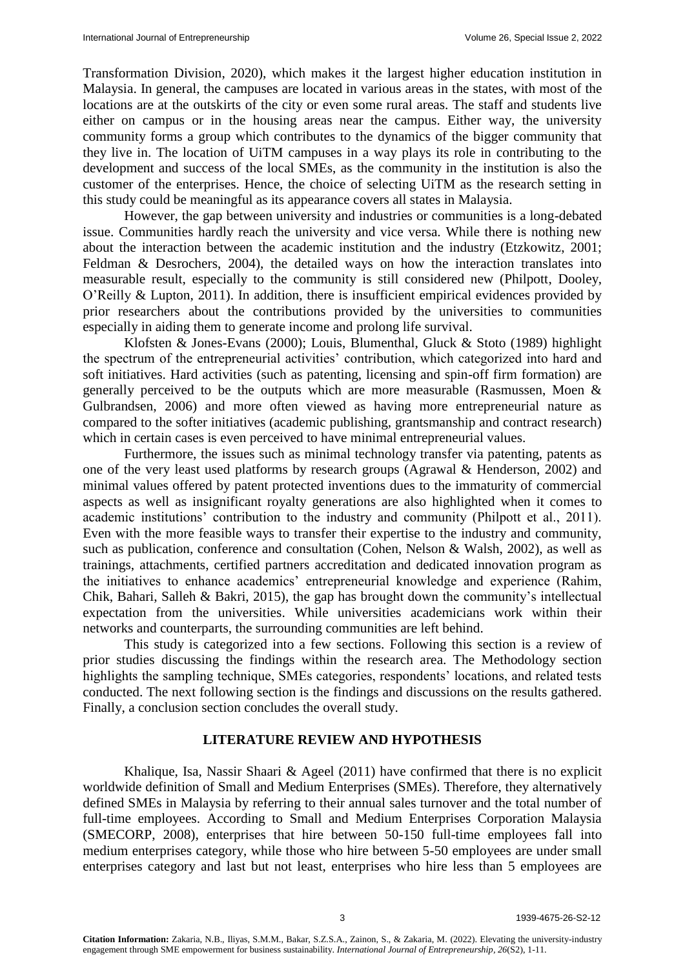Transformation Division, 2020), which makes it the largest higher education institution in Malaysia. In general, the campuses are located in various areas in the states, with most of the locations are at the outskirts of the city or even some rural areas. The staff and students live either on campus or in the housing areas near the campus. Either way, the university community forms a group which contributes to the dynamics of the bigger community that they live in. The location of UiTM campuses in a way plays its role in contributing to the development and success of the local SMEs, as the community in the institution is also the customer of the enterprises. Hence, the choice of selecting UiTM as the research setting in this study could be meaningful as its appearance covers all states in Malaysia.

However, the gap between university and industries or communities is a long-debated issue. Communities hardly reach the university and vice versa. While there is nothing new about the interaction between the academic institution and the industry (Etzkowitz, 2001; Feldman & Desrochers, 2004), the detailed ways on how the interaction translates into measurable result, especially to the community is still considered new (Philpott, Dooley, O'Reilly & Lupton, 2011). In addition, there is insufficient empirical evidences provided by prior researchers about the contributions provided by the universities to communities especially in aiding them to generate income and prolong life survival.

Klofsten & Jones-Evans (2000); Louis, Blumenthal, Gluck & Stoto (1989) highlight the spectrum of the entrepreneurial activities' contribution, which categorized into hard and soft initiatives. Hard activities (such as patenting, licensing and spin-off firm formation) are generally perceived to be the outputs which are more measurable (Rasmussen, Moen & Gulbrandsen, 2006) and more often viewed as having more entrepreneurial nature as compared to the softer initiatives (academic publishing, grantsmanship and contract research) which in certain cases is even perceived to have minimal entrepreneurial values.

Furthermore, the issues such as minimal technology transfer via patenting, patents as one of the very least used platforms by research groups (Agrawal & Henderson, 2002) and minimal values offered by patent protected inventions dues to the immaturity of commercial aspects as well as insignificant royalty generations are also highlighted when it comes to academic institutions' contribution to the industry and community (Philpott et al., 2011). Even with the more feasible ways to transfer their expertise to the industry and community, such as publication, conference and consultation (Cohen, Nelson & Walsh, 2002), as well as trainings, attachments, certified partners accreditation and dedicated innovation program as the initiatives to enhance academics' entrepreneurial knowledge and experience (Rahim, Chik, Bahari, Salleh & Bakri, 2015), the gap has brought down the community's intellectual expectation from the universities. While universities academicians work within their networks and counterparts, the surrounding communities are left behind.

This study is categorized into a few sections. Following this section is a review of prior studies discussing the findings within the research area. The Methodology section highlights the sampling technique, SMEs categories, respondents' locations, and related tests conducted. The next following section is the findings and discussions on the results gathered. Finally, a conclusion section concludes the overall study.

### **LITERATURE REVIEW AND HYPOTHESIS**

Khalique, Isa, Nassir Shaari & Ageel (2011) have confirmed that there is no explicit worldwide definition of Small and Medium Enterprises (SMEs). Therefore, they alternatively defined SMEs in Malaysia by referring to their annual sales turnover and the total number of full-time employees. According to Small and Medium Enterprises Corporation Malaysia (SMECORP, 2008), enterprises that hire between 50-150 full-time employees fall into medium enterprises category, while those who hire between 5-50 employees are under small enterprises category and last but not least, enterprises who hire less than 5 employees are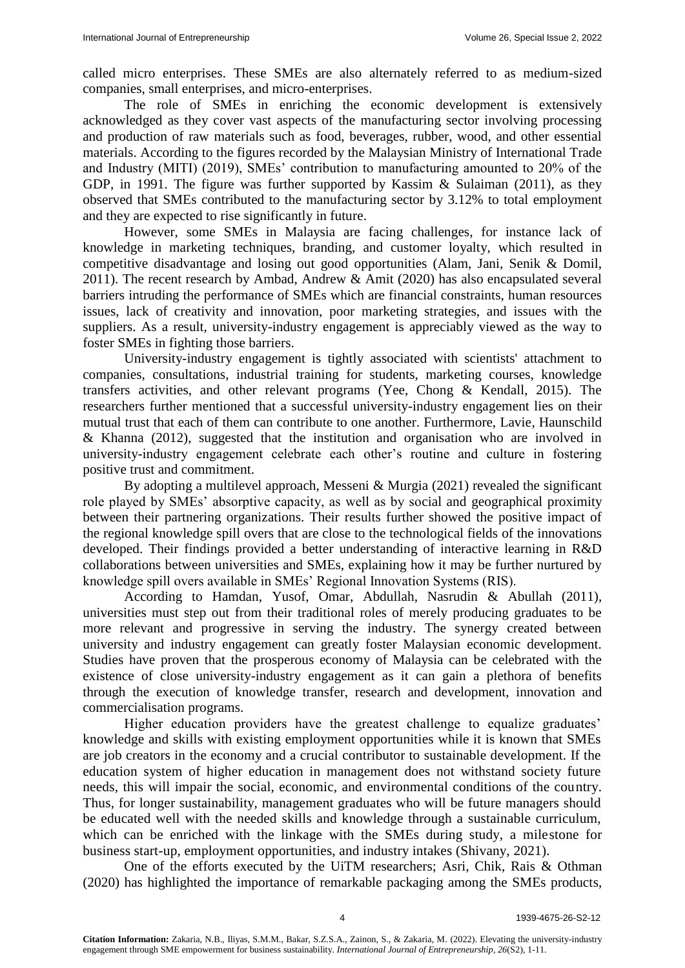called micro enterprises. These SMEs are also alternately referred to as medium-sized companies, small enterprises, and micro-enterprises.

The role of SMEs in enriching the economic development is extensively acknowledged as they cover vast aspects of the manufacturing sector involving processing and production of raw materials such as food, beverages, rubber, wood, and other essential materials. According to the figures recorded by the Malaysian Ministry of International Trade and Industry (MITI) (2019), SMEs' contribution to manufacturing amounted to 20% of the GDP, in 1991. The figure was further supported by Kassim & Sulaiman (2011), as they observed that SMEs contributed to the manufacturing sector by 3.12% to total employment and they are expected to rise significantly in future.

However, some SMEs in Malaysia are facing challenges, for instance lack of knowledge in marketing techniques, branding, and customer loyalty, which resulted in competitive disadvantage and losing out good opportunities (Alam, Jani, Senik & Domil, 2011). The recent research by Ambad, Andrew & Amit (2020) has also encapsulated several barriers intruding the performance of SMEs which are financial constraints, human resources issues, lack of creativity and innovation, poor marketing strategies, and issues with the suppliers. As a result, university-industry engagement is appreciably viewed as the way to foster SMEs in fighting those barriers.

University-industry engagement is tightly associated with scientists' attachment to companies, consultations, industrial training for students, marketing courses, knowledge transfers activities, and other relevant programs (Yee, Chong & Kendall, 2015). The researchers further mentioned that a successful university-industry engagement lies on their mutual trust that each of them can contribute to one another. Furthermore, Lavie, Haunschild & Khanna (2012), suggested that the institution and organisation who are involved in university-industry engagement celebrate each other's routine and culture in fostering positive trust and commitment.

By adopting a multilevel approach, Messeni & Murgia (2021) revealed the significant role played by SMEs' absorptive capacity, as well as by social and geographical proximity between their partnering organizations. Their results further showed the positive impact of the regional knowledge spill overs that are close to the technological fields of the innovations developed. Their findings provided a better understanding of interactive learning in R&D collaborations between universities and SMEs, explaining how it may be further nurtured by knowledge spill overs available in SMEs' Regional Innovation Systems (RIS).

According to Hamdan, Yusof, Omar, Abdullah, Nasrudin & Abullah (2011), universities must step out from their traditional roles of merely producing graduates to be more relevant and progressive in serving the industry. The synergy created between university and industry engagement can greatly foster Malaysian economic development. Studies have proven that the prosperous economy of Malaysia can be celebrated with the existence of close university-industry engagement as it can gain a plethora of benefits through the execution of knowledge transfer, research and development, innovation and commercialisation programs.

Higher education providers have the greatest challenge to equalize graduates' knowledge and skills with existing employment opportunities while it is known that SMEs are job creators in the economy and a crucial contributor to sustainable development. If the education system of higher education in management does not withstand society future needs, this will impair the social, economic, and environmental conditions of the country. Thus, for longer sustainability, management graduates who will be future managers should be educated well with the needed skills and knowledge through a sustainable curriculum, which can be enriched with the linkage with the SMEs during study, a milestone for business start-up, employment opportunities, and industry intakes (Shivany, 2021).

One of the efforts executed by the UiTM researchers; Asri, Chik, Rais & Othman (2020) has highlighted the importance of remarkable packaging among the SMEs products,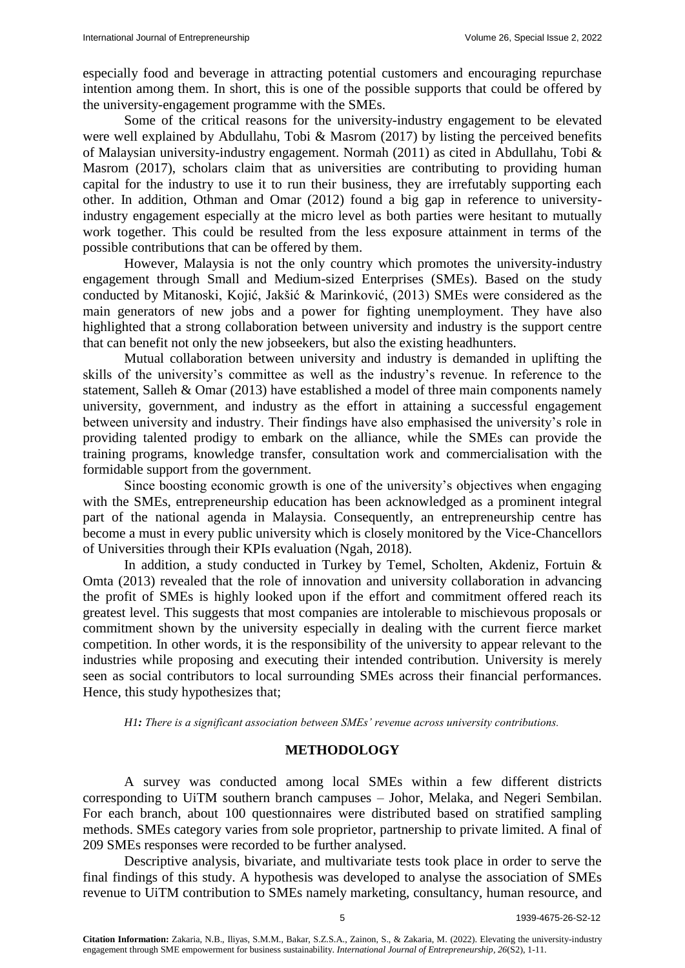especially food and beverage in attracting potential customers and encouraging repurchase intention among them. In short, this is one of the possible supports that could be offered by the university-engagement programme with the SMEs.

Some of the critical reasons for the university-industry engagement to be elevated were well explained by Abdullahu, Tobi & Masrom (2017) by listing the perceived benefits of Malaysian university-industry engagement. Normah (2011) as cited in Abdullahu, Tobi & Masrom (2017), scholars claim that as universities are contributing to providing human capital for the industry to use it to run their business, they are irrefutably supporting each other. In addition, Othman and Omar (2012) found a big gap in reference to universityindustry engagement especially at the micro level as both parties were hesitant to mutually work together. This could be resulted from the less exposure attainment in terms of the possible contributions that can be offered by them.

However, Malaysia is not the only country which promotes the university-industry engagement through Small and Medium-sized Enterprises (SMEs). Based on the study conducted by Mitanoski, Kojić, Jakšić & Marinković, (2013) SMEs were considered as the main generators of new jobs and a power for fighting unemployment. They have also highlighted that a strong collaboration between university and industry is the support centre that can benefit not only the new jobseekers, but also the existing headhunters.

Mutual collaboration between university and industry is demanded in uplifting the skills of the university's committee as well as the industry's revenue. In reference to the statement, Salleh & Omar (2013) have established a model of three main components namely university, government, and industry as the effort in attaining a successful engagement between university and industry. Their findings have also emphasised the university's role in providing talented prodigy to embark on the alliance, while the SMEs can provide the training programs, knowledge transfer, consultation work and commercialisation with the formidable support from the government.

Since boosting economic growth is one of the university's objectives when engaging with the SMEs, entrepreneurship education has been acknowledged as a prominent integral part of the national agenda in Malaysia. Consequently, an entrepreneurship centre has become a must in every public university which is closely monitored by the Vice-Chancellors of Universities through their KPIs evaluation (Ngah, 2018).

In addition, a study conducted in Turkey by Temel, Scholten, Akdeniz, Fortuin & Omta (2013) revealed that the role of innovation and university collaboration in advancing the profit of SMEs is highly looked upon if the effort and commitment offered reach its greatest level. This suggests that most companies are intolerable to mischievous proposals or commitment shown by the university especially in dealing with the current fierce market competition. In other words, it is the responsibility of the university to appear relevant to the industries while proposing and executing their intended contribution. University is merely seen as social contributors to local surrounding SMEs across their financial performances. Hence, this study hypothesizes that;

*H1: There is a significant association between SMEs' revenue across university contributions.*

#### **METHODOLOGY**

A survey was conducted among local SMEs within a few different districts corresponding to UiTM southern branch campuses – Johor, Melaka, and Negeri Sembilan. For each branch, about 100 questionnaires were distributed based on stratified sampling methods. SMEs category varies from sole proprietor, partnership to private limited. A final of 209 SMEs responses were recorded to be further analysed.

Descriptive analysis, bivariate, and multivariate tests took place in order to serve the final findings of this study. A hypothesis was developed to analyse the association of SMEs revenue to UiTM contribution to SMEs namely marketing, consultancy, human resource, and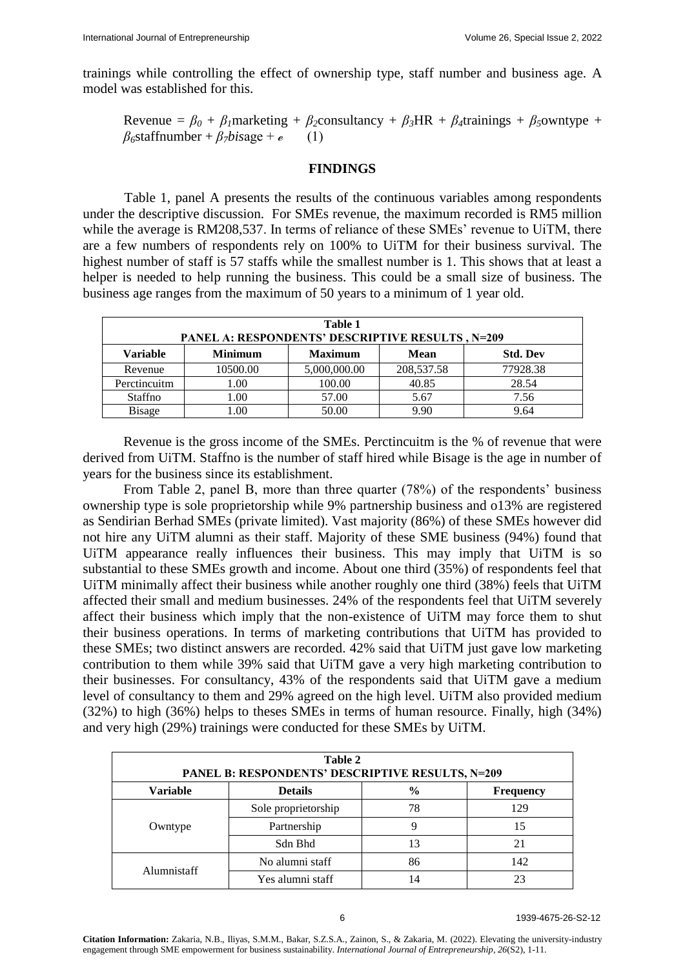trainings while controlling the effect of ownership type, staff number and business age. A model was established for this.

Revenue =  $\beta_0 + \beta_1$ marketing +  $\beta_2$ consultancy +  $\beta_3$ HR +  $\beta_4$ trainings +  $\beta_5$ owntype +  $\beta$ <sup>6</sup>staffnumber +  $\beta$ *7bisage* + *e* (1)

#### **FINDINGS**

Table 1, panel A presents the results of the continuous variables among respondents under the descriptive discussion. For SMEs revenue, the maximum recorded is RM5 million while the average is RM208,537. In terms of reliance of these SMEs' revenue to UiTM, there are a few numbers of respondents rely on 100% to UiTM for their business survival. The highest number of staff is 57 staffs while the smallest number is 1. This shows that at least a helper is needed to help running the business. This could be a small size of business. The business age ranges from the maximum of 50 years to a minimum of 1 year old.

| Table 1<br><b>PANEL A: RESPONDENTS' DESCRIPTIVE RESULTS, N=209</b> |                |                |              |                 |  |  |
|--------------------------------------------------------------------|----------------|----------------|--------------|-----------------|--|--|
| Variable                                                           | <b>Minimum</b> | <b>Maximum</b> | <b>Mean</b>  | <b>Std. Dev</b> |  |  |
| Revenue                                                            | 10500.00       | 5,000,000.00   | 208, 537. 58 | 77928.38        |  |  |
| Perctincuitm                                                       | 1.00           | 100.00         | 40.85        | 28.54           |  |  |
| Staffno                                                            | 1.00           | 57.00          | 5.67         | 7.56            |  |  |
| <b>Bisage</b>                                                      | .00            | 50.00          | 9.90         | 9.64            |  |  |

Revenue is the gross income of the SMEs. Perctincuitm is the % of revenue that were derived from UiTM. Staffno is the number of staff hired while Bisage is the age in number of years for the business since its establishment.

From Table 2, panel B, more than three quarter (78%) of the respondents' business ownership type is sole proprietorship while 9% partnership business and o13% are registered as Sendirian Berhad SMEs (private limited). Vast majority (86%) of these SMEs however did not hire any UiTM alumni as their staff. Majority of these SME business (94%) found that UiTM appearance really influences their business. This may imply that UiTM is so substantial to these SMEs growth and income. About one third (35%) of respondents feel that UiTM minimally affect their business while another roughly one third (38%) feels that UiTM affected their small and medium businesses. 24% of the respondents feel that UiTM severely affect their business which imply that the non-existence of UiTM may force them to shut their business operations. In terms of marketing contributions that UiTM has provided to these SMEs; two distinct answers are recorded. 42% said that UiTM just gave low marketing contribution to them while 39% said that UiTM gave a very high marketing contribution to their businesses. For consultancy, 43% of the respondents said that UiTM gave a medium level of consultancy to them and 29% agreed on the high level. UiTM also provided medium (32%) to high (36%) helps to theses SMEs in terms of human resource. Finally, high (34%) and very high (29%) trainings were conducted for these SMEs by UiTM.

| Table 2<br>PANEL B: RESPONDENTS' DESCRIPTIVE RESULTS, N=209 |                     |               |                  |  |  |  |
|-------------------------------------------------------------|---------------------|---------------|------------------|--|--|--|
| Variable                                                    | <b>Details</b>      | $\frac{0}{0}$ | <b>Frequency</b> |  |  |  |
|                                                             | Sole proprietorship | 78            | 129              |  |  |  |
| Owntype                                                     | Partnership         | q             | 15               |  |  |  |
|                                                             | Sdn Bhd             | 13            | 21               |  |  |  |
|                                                             | No alumni staff     | 86            | 142              |  |  |  |
| Alumnistaff                                                 | Yes alumni staff    | 14            |                  |  |  |  |

**Citation Information:** Zakaria, N.B., Iliyas, S.M.M., Bakar, S.Z.S.A., Zainon, S., & Zakaria, M. (2022). Elevating the university-industry engagement through SME empowerment for business sustainability. *International Journal of Entrepreneurship, 26*(S2), 1-11.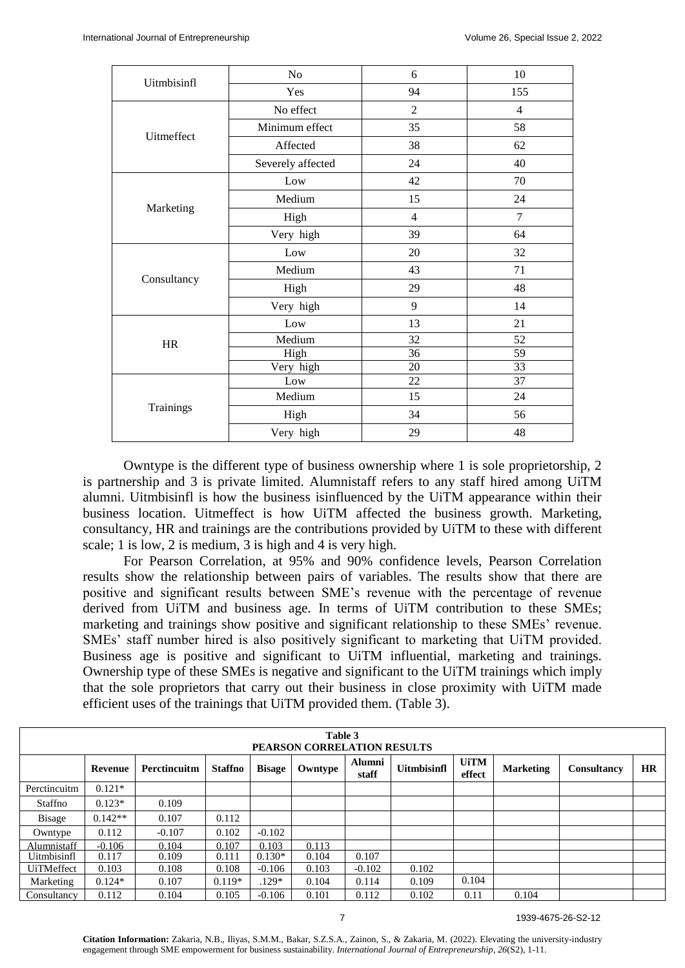| Uitmbisinfl | N <sub>o</sub>    | 6              | 10  |
|-------------|-------------------|----------------|-----|
|             | Yes               | 94             | 155 |
|             | No effect         | $\overline{2}$ | 4   |
| Uitmeffect  | Minimum effect    | 35             | 58  |
|             | Affected          | 38             | 62  |
|             | Severely affected | 24             | 40  |
|             | Low               | 42             | 70  |
|             | Medium            | 15             | 24  |
| Marketing   | High              | $\overline{4}$ | 7   |
|             | Very high         | 39             | 64  |
|             | Low               | 20             | 32  |
|             | Medium            | 43             | 71  |
| Consultancy | High              | 29             | 48  |
|             | Very high         | 9              | 14  |
|             | Low               | 13             | 21  |
| <b>HR</b>   | Medium            | 32             | 52  |
|             | High              | 36             | 59  |
|             | Very high         | 20             | 33  |
|             | Low               | 22             | 37  |
|             | Medium            | 15             | 24  |
| Trainings   | High              | 34             | 56  |
|             | Very high         | 29             | 48  |

Owntype is the different type of business ownership where 1 is sole proprietorship, 2 is partnership and 3 is private limited. Alumnistaff refers to any staff hired among UiTM alumni. Uitmbisinfl is how the business isinfluenced by the UiTM appearance within their business location. Uitmeffect is how UiTM affected the business growth. Marketing, consultancy, HR and trainings are the contributions provided by UiTM to these with different scale; 1 is low, 2 is medium, 3 is high and 4 is very high.

For Pearson Correlation, at 95% and 90% confidence levels, Pearson Correlation results show the relationship between pairs of variables. The results show that there are positive and significant results between SME's revenue with the percentage of revenue derived from UiTM and business age. In terms of UiTM contribution to these SMEs; marketing and trainings show positive and significant relationship to these SMEs' revenue. SMEs' staff number hired is also positively significant to marketing that UiTM provided. Business age is positive and significant to UiTM influential, marketing and trainings. Ownership type of these SMEs is negative and significant to the UiTM trainings which imply that the sole proprietors that carry out their business in close proximity with UiTM made efficient uses of the trainings that UiTM provided them. (Table 3).

|                   |                |              |                |               | Table 3<br>PEARSON CORRELATION RESULTS |                        |                    |                       |                  |                    |           |
|-------------------|----------------|--------------|----------------|---------------|----------------------------------------|------------------------|--------------------|-----------------------|------------------|--------------------|-----------|
|                   | <b>Revenue</b> | Perctincuitm | <b>Staffno</b> | <b>Bisage</b> | Owntype                                | <b>Alumni</b><br>staff | <b>Uitmbisinfl</b> | <b>UiTM</b><br>effect | <b>Marketing</b> | <b>Consultancy</b> | <b>HR</b> |
| Perctincuitm      | $0.121*$       |              |                |               |                                        |                        |                    |                       |                  |                    |           |
| Staffno           | $0.123*$       | 0.109        |                |               |                                        |                        |                    |                       |                  |                    |           |
| <b>Bisage</b>     | $0.142**$      | 0.107        | 0.112          |               |                                        |                        |                    |                       |                  |                    |           |
| Owntype           | 0.112          | $-0.107$     | 0.102          | $-0.102$      |                                        |                        |                    |                       |                  |                    |           |
| Alumnistaff       | $-0.106$       | 0.104        | 0.107          | 0.103         | 0.113                                  |                        |                    |                       |                  |                    |           |
| Uitmbisinfl       | 0.117          | 0.109        | 0.111          | $0.130*$      | 0.104                                  | 0.107                  |                    |                       |                  |                    |           |
| <b>UiTMeffect</b> | 0.103          | 0.108        | 0.108          | $-0.106$      | 0.103                                  | $-0.102$               | 0.102              |                       |                  |                    |           |
| Marketing         | $0.124*$       | 0.107        | $0.119*$       | $.129*$       | 0.104                                  | 0.114                  | 0.109              | 0.104                 |                  |                    |           |
| Consultancy       | 0.112          | 0.104        | 0.105          | $-0.106$      | 0.101                                  | 0.112                  | 0.102              | 0.11                  | 0.104            |                    |           |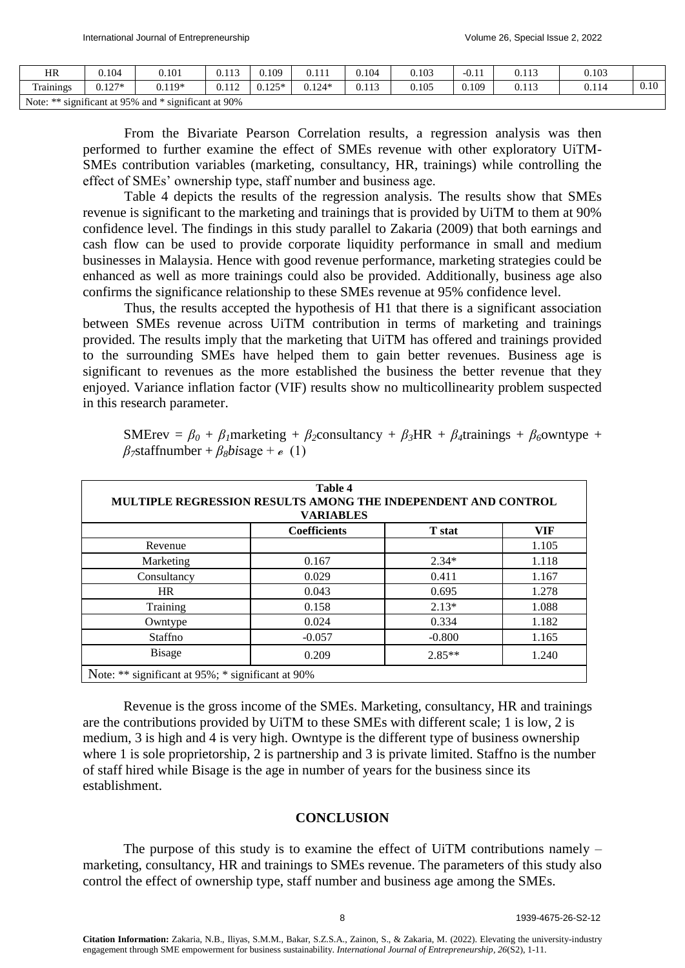| HR         | 0.104                     | 0.101                                       | 0.113 | 0.109                    | 0.111    | 0.104 | 0.103 | $-U.11$ | 0.113 | 0.103 |      |
|------------|---------------------------|---------------------------------------------|-------|--------------------------|----------|-------|-------|---------|-------|-------|------|
| Trainings  | $127*$<br>$0.12^{\prime}$ | $0.119*$                                    | 0.112 | $0.125*$<br><u>0.125</u> | $0.124*$ | 0.113 | 0.105 | 0.109   | 0.113 | 0.114 | 0.10 |
| Note: $**$ |                           | significant at 95% and * significant at 90% |       |                          |          |       |       |         |       |       |      |

From the Bivariate Pearson Correlation results, a regression analysis was then performed to further examine the effect of SMEs revenue with other exploratory UiTM-SMEs contribution variables (marketing, consultancy, HR, trainings) while controlling the effect of SMEs' ownership type, staff number and business age.

Table 4 depicts the results of the regression analysis. The results show that SMEs revenue is significant to the marketing and trainings that is provided by UiTM to them at 90% confidence level. The findings in this study parallel to Zakaria (2009) that both earnings and cash flow can be used to provide corporate liquidity performance in small and medium businesses in Malaysia. Hence with good revenue performance, marketing strategies could be enhanced as well as more trainings could also be provided. Additionally, business age also confirms the significance relationship to these SMEs revenue at 95% confidence level.

Thus, the results accepted the hypothesis of H1 that there is a significant association between SMEs revenue across UiTM contribution in terms of marketing and trainings provided. The results imply that the marketing that UiTM has offered and trainings provided to the surrounding SMEs have helped them to gain better revenues. Business age is significant to revenues as the more established the business the better revenue that they enjoyed. Variance inflation factor (VIF) results show no multicollinearity problem suspected in this research parameter.

SMErev =  $\beta_0 + \beta_1$ marketing +  $\beta_2$ consultancy +  $\beta_3$ HR +  $\beta_4$ trainings +  $\beta_6$ owntype +  $\beta$ <sup>7</sup>staffnumber +  $\beta$ <sub>8</sub>*bisage* +  $\epsilon$  (1)

| MULTIPLE REGRESSION RESULTS AMONG THE INDEPENDENT AND CONTROL<br><b>VARIABLES</b> |                     |               |            |  |  |  |  |
|-----------------------------------------------------------------------------------|---------------------|---------------|------------|--|--|--|--|
|                                                                                   | <b>Coefficients</b> | <b>T</b> stat | <b>VIF</b> |  |  |  |  |
| Revenue                                                                           |                     |               | 1.105      |  |  |  |  |
| Marketing                                                                         | 0.167               | $2.34*$       | 1.118      |  |  |  |  |
| Consultancy                                                                       | 0.029               | 0.411         | 1.167      |  |  |  |  |
| <b>HR</b>                                                                         | 0.043               | 0.695         | 1.278      |  |  |  |  |
| Training                                                                          | 0.158               | $2.13*$       | 1.088      |  |  |  |  |
| Owntype                                                                           | 0.024               | 0.334         | 1.182      |  |  |  |  |
| Staffno                                                                           | $-0.057$            | $-0.800$      | 1.165      |  |  |  |  |
| <b>Bisage</b>                                                                     | 0.209               | $2.85**$      | 1.240      |  |  |  |  |

Revenue is the gross income of the SMEs. Marketing, consultancy, HR and trainings are the contributions provided by UiTM to these SMEs with different scale; 1 is low, 2 is medium, 3 is high and 4 is very high. Owntype is the different type of business ownership where 1 is sole proprietorship, 2 is partnership and 3 is private limited. Staffno is the number of staff hired while Bisage is the age in number of years for the business since its establishment.

#### **CONCLUSION**

The purpose of this study is to examine the effect of UiTM contributions namely – marketing, consultancy, HR and trainings to SMEs revenue. The parameters of this study also control the effect of ownership type, staff number and business age among the SMEs.

**Citation Information:** Zakaria, N.B., Iliyas, S.M.M., Bakar, S.Z.S.A., Zainon, S., & Zakaria, M. (2022). Elevating the university-industry engagement through SME empowerment for business sustainability. *International Journal of Entrepreneurship, 26*(S2), 1-11.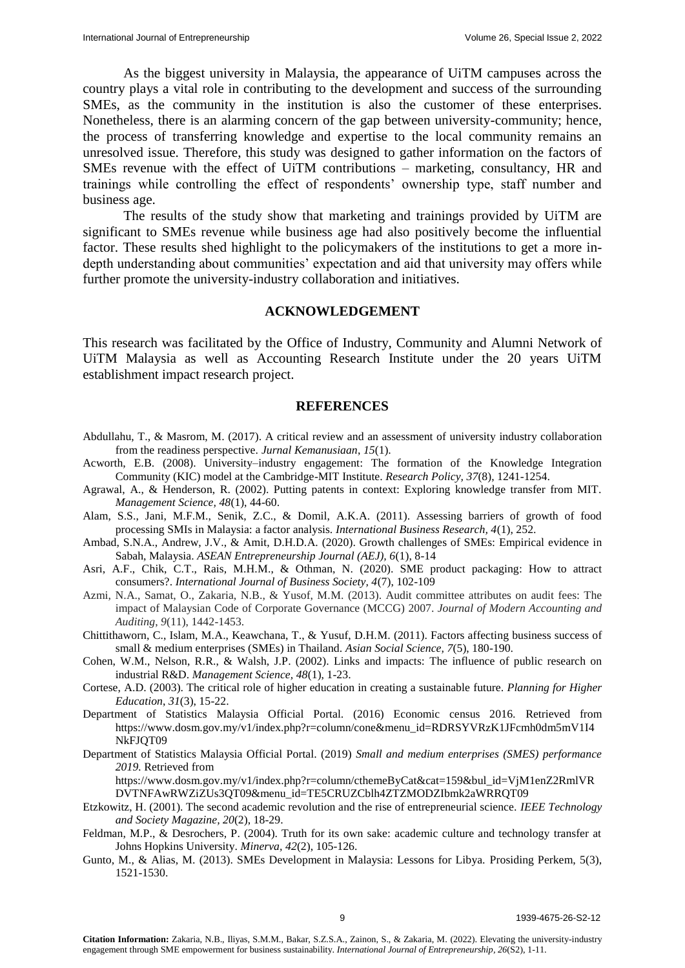As the biggest university in Malaysia, the appearance of UiTM campuses across the country plays a vital role in contributing to the development and success of the surrounding SMEs, as the community in the institution is also the customer of these enterprises. Nonetheless, there is an alarming concern of the gap between university-community; hence, the process of transferring knowledge and expertise to the local community remains an unresolved issue. Therefore, this study was designed to gather information on the factors of SMEs revenue with the effect of UiTM contributions – marketing, consultancy, HR and trainings while controlling the effect of respondents' ownership type, staff number and business age.

The results of the study show that marketing and trainings provided by UiTM are significant to SMEs revenue while business age had also positively become the influential factor. These results shed highlight to the policymakers of the institutions to get a more indepth understanding about communities' expectation and aid that university may offers while further promote the university-industry collaboration and initiatives.

#### **ACKNOWLEDGEMENT**

This research was facilitated by the Office of Industry, Community and Alumni Network of UiTM Malaysia as well as Accounting Research Institute under the 20 years UiTM establishment impact research project.

#### **REFERENCES**

- Abdullahu, T., & Masrom, M. (2017). A critical review and an assessment of university industry collaboration from the readiness perspective. *Jurnal Kemanusiaan*, *15*(1).
- Acworth, E.B. (2008). University–industry engagement: The formation of the Knowledge Integration Community (KIC) model at the Cambridge-MIT Institute. *Research Policy, 37*(8), 1241-1254.
- Agrawal, A., & Henderson, R. (2002). Putting patents in context: Exploring knowledge transfer from MIT. *Management Science, 48*(1), 44-60.
- Alam, S.S., Jani, M.F.M., Senik, Z.C., & Domil, A.K.A. (2011). Assessing barriers of growth of food processing SMIs in Malaysia: a factor analysis. *International Business Research, 4*(1), 252.
- Ambad, S.N.A., Andrew, J.V., & Amit, D.H.D.A. (2020). Growth challenges of SMEs: Empirical evidence in Sabah, Malaysia. *ASEAN Entrepreneurship Journal (AEJ), 6*(1), 8-14
- Asri, A.F., Chik, C.T., Rais, M.H.M., & Othman, N. (2020). SME product packaging: How to attract consumers?. *International Journal of Business Society, 4*(7), 102-109
- Azmi, N.A., Samat, O., Zakaria, N.B., & Yusof, M.M. (2013). Audit committee attributes on audit fees: The impact of Malaysian Code of Corporate Governance (MCCG) 2007. *Journal of Modern Accounting and Auditing*, *9*(11), 1442-1453.
- Chittithaworn, C., Islam, M.A., Keawchana, T., & Yusuf, D.H.M. (2011). Factors affecting business success of small & medium enterprises (SMEs) in Thailand. *Asian Social Science, 7*(5), 180-190.
- Cohen, W.M., Nelson, R.R., & Walsh, J.P. (2002). Links and impacts: The influence of public research on industrial R&D. *Management Science, 48*(1), 1-23.
- Cortese, A.D. (2003). The critical role of higher education in creating a sustainable future. *Planning for Higher Education*, *31*(3), 15-22.
- Department of Statistics Malaysia Official Portal. (2016) Economic census 2016. Retrieved from https://www.dosm.gov.my/v1/index.php?r=column/cone&menu\_id=RDRSYVRzK1JFcmh0dm5mV1I4 NkFJOT09
- Department of Statistics Malaysia Official Portal. (2019) *Small and medium enterprises (SMES) performance 2019.* Retrieved from

https://www.dosm.gov.my/v1/index.php?r=column/cthemeByCat&cat=159&bul\_id=VjM1enZ2RmlVR DVTNFAwRWZiZUs3QT09&menu\_id=TE5CRUZCblh4ZTZMODZIbmk2aWRRQT09

- Etzkowitz, H. (2001). The second academic revolution and the rise of entrepreneurial science. *IEEE Technology and Society Magazine, 20*(2), 18-29.
- Feldman, M.P., & Desrochers, P. (2004). Truth for its own sake: academic culture and technology transfer at Johns Hopkins University. *Minerva, 42*(2), 105-126.
- Gunto, M., & Alias, M. (2013). SMEs Development in Malaysia: Lessons for Libya. Prosiding Perkem, 5(3), 1521-1530.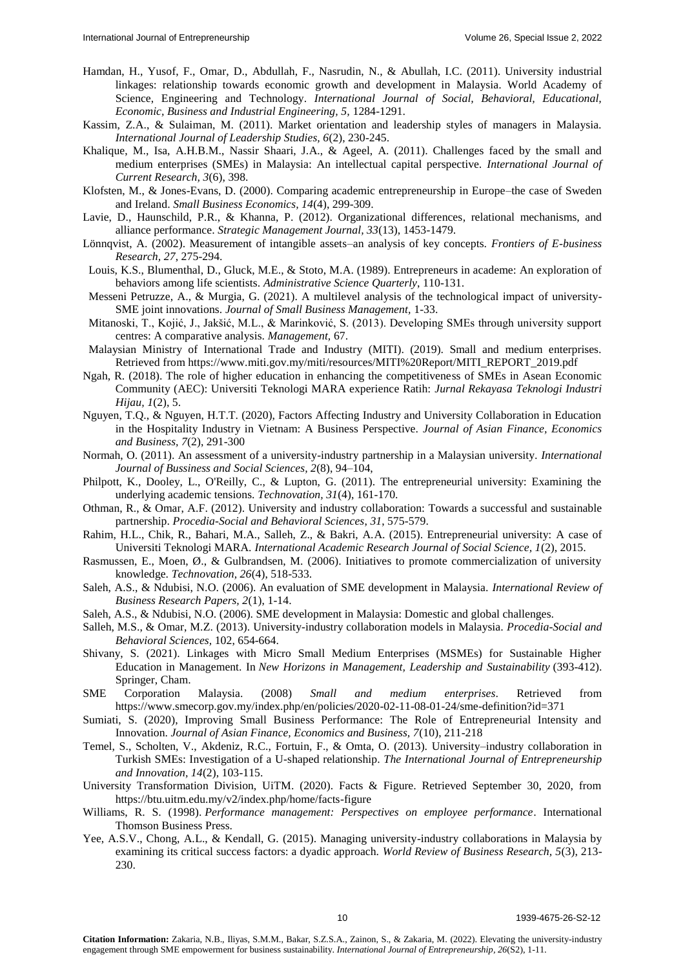- Hamdan, H., Yusof, F., Omar, D., Abdullah, F., Nasrudin, N., & Abullah, I.C. (2011). University industrial linkages: relationship towards economic growth and development in Malaysia. World Academy of Science, Engineering and Technology. *International Journal of Social, Behavioral, Educational, Economic, Business and Industrial Engineering, 5,* 1284-1291.
- Kassim, Z.A., & Sulaiman, M. (2011). Market orientation and leadership styles of managers in Malaysia. *International Journal of Leadership Studies, 6*(2), 230-245.
- Khalique, M., Isa, A.H.B.M., Nassir Shaari, J.A., & Ageel, A. (2011). Challenges faced by the small and medium enterprises (SMEs) in Malaysia: An intellectual capital perspective. *International Journal of Current Research, 3*(6), 398.
- Klofsten, M., & Jones-Evans, D. (2000). Comparing academic entrepreneurship in Europe–the case of Sweden and Ireland. *Small Business Economics, 14*(4), 299-309.
- Lavie, D., Haunschild, P.R., & Khanna, P. (2012). Organizational differences, relational mechanisms, and alliance performance. *Strategic Management Journal, 33*(13), 1453-1479.
- Lönnqvist, A. (2002). Measurement of intangible assets–an analysis of key concepts. *Frontiers of E-business Research, 27*, 275-294.
- Louis, K.S., Blumenthal, D., Gluck, M.E., & Stoto, M.A. (1989). Entrepreneurs in academe: An exploration of behaviors among life scientists. *Administrative Science Quarterly*, 110-131.
- Messeni Petruzze, A., & Murgia, G. (2021). A multilevel analysis of the technological impact of university-SME joint innovations. *Journal of Small Business Management,* 1-33.
- Mitanoski, T., Kojić, J., Jakšić, M.L., & Marinković, S. (2013). Developing SMEs through university support centres: A comparative analysis. *Management,* 67.
- Malaysian Ministry of International Trade and Industry (MITI). (2019). Small and medium enterprises. Retrieved from https://www.miti.gov.my/miti/resources/MITI%20Report/MITI\_REPORT\_2019.pdf
- Ngah, R. (2018). The role of higher education in enhancing the competitiveness of SMEs in Asean Economic Community (AEC): Universiti Teknologi MARA experience Ratih: *Jurnal Rekayasa Teknologi Industri Hijau, 1*(2), 5.
- Nguyen, T.Q., & Nguyen, H.T.T. (2020), Factors Affecting Industry and University Collaboration in Education in the Hospitality Industry in Vietnam: A Business Perspective. *Journal of Asian Finance, Economics and Business, 7*(2), 291-300
- Normah, O. (2011). An assessment of a university-industry partnership in a Malaysian university. *International Journal of Bussiness and Social Sciences, 2*(8), 94–104,
- Philpott, K., Dooley, L., O'Reilly, C., & Lupton, G. (2011). The entrepreneurial university: Examining the underlying academic tensions. *Technovation, 31*(4), 161-170.
- Othman, R., & Omar, A.F. (2012). University and industry collaboration: Towards a successful and sustainable partnership. *Procedia-Social and Behavioral Sciences*, *31*, 575-579.
- Rahim, H.L., Chik, R., Bahari, M.A., Salleh, Z., & Bakri, A.A. (2015). Entrepreneurial university: A case of Universiti Teknologi MARA. *International Academic Research Journal of Social Science, 1*(2), 2015.
- Rasmussen, E., Moen, Ø., & Gulbrandsen, M. (2006). Initiatives to promote commercialization of university knowledge. *Technovation, 26*(4), 518-533.
- Saleh, A.S., & Ndubisi, N.O. (2006). An evaluation of SME development in Malaysia. *International Review of Business Research Papers, 2*(1), 1-14.
- Saleh, A.S., & Ndubisi, N.O. (2006). SME development in Malaysia: Domestic and global challenges.
- Salleh, M.S., & Omar, M.Z. (2013). University-industry collaboration models in Malaysia. *Procedia-Social and Behavioral Sciences,* 102, 654-664.
- Shivany, S. (2021). Linkages with Micro Small Medium Enterprises (MSMEs) for Sustainable Higher Education in Management. In *New Horizons in Management, Leadership and Sustainability* (393-412). Springer, Cham.
- SME Corporation Malaysia. (2008) *Small and medium enterprises*. Retrieved from https://www.smecorp.gov.my/index.php/en/policies/2020-02-11-08-01-24/sme-definition?id=371
- Sumiati, S. (2020), Improving Small Business Performance: The Role of Entrepreneurial Intensity and Innovation. *Journal of Asian Finance, Economics and Business, 7*(10), 211-218
- Temel, S., Scholten, V., Akdeniz, R.C., Fortuin, F., & Omta, O. (2013). University–industry collaboration in Turkish SMEs: Investigation of a U-shaped relationship. *The International Journal of Entrepreneurship and Innovation, 14*(2), 103-115.
- University Transformation Division, UiTM. (2020). Facts & Figure. Retrieved September 30, 2020, from https://btu.uitm.edu.my/v2/index.php/home/facts-figure
- Williams, R. S. (1998). *Performance management: Perspectives on employee performance*. International Thomson Business Press.
- Yee, A.S.V., Chong, A.L., & Kendall, G. (2015). Managing university-industry collaborations in Malaysia by examining its critical success factors: a dyadic approach. *World Review of Business Research, 5*(3), 213- 230.